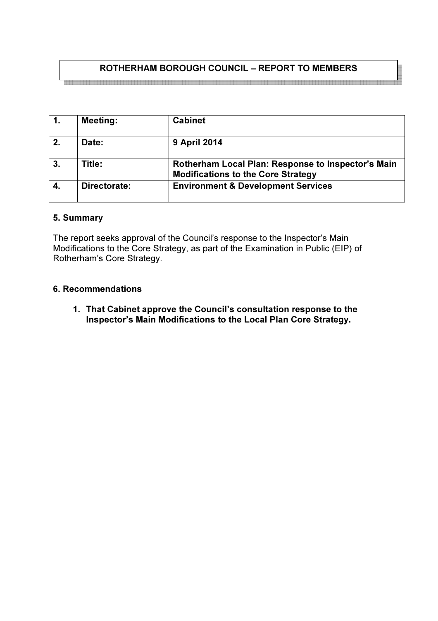# ROTHERHAM BOROUGH COUNCIL – REPORT TO MEMBERS

| $\mathbf{1}$ . | <b>Meeting:</b> | <b>Cabinet</b>                                                                                  |
|----------------|-----------------|-------------------------------------------------------------------------------------------------|
| 2.             | Date:           | <b>9 April 2014</b>                                                                             |
| 3.             | Title:          | Rotherham Local Plan: Response to Inspector's Main<br><b>Modifications to the Core Strategy</b> |
| 4.             | Directorate:    | <b>Environment &amp; Development Services</b>                                                   |

### 5. Summary

The report seeks approval of the Council's response to the Inspector's Main Modifications to the Core Strategy, as part of the Examination in Public (EIP) of Rotherham's Core Strategy.

### 6. Recommendations

1. That Cabinet approve the Council's consultation response to the Inspector's Main Modifications to the Local Plan Core Strategy.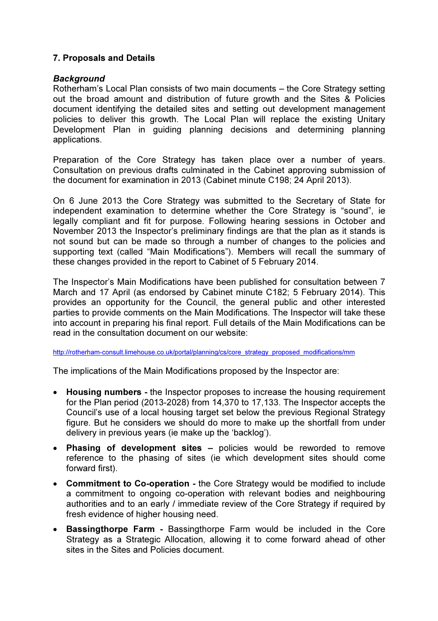# 7. Proposals and Details

### **Background**

Rotherham's Local Plan consists of two main documents – the Core Strategy setting out the broad amount and distribution of future growth and the Sites & Policies document identifying the detailed sites and setting out development management policies to deliver this growth. The Local Plan will replace the existing Unitary Development Plan in guiding planning decisions and determining planning applications.

Preparation of the Core Strategy has taken place over a number of years. Consultation on previous drafts culminated in the Cabinet approving submission of the document for examination in 2013 (Cabinet minute C198; 24 April 2013).

On 6 June 2013 the Core Strategy was submitted to the Secretary of State for independent examination to determine whether the Core Strategy is "sound", ie legally compliant and fit for purpose. Following hearing sessions in October and November 2013 the Inspector's preliminary findings are that the plan as it stands is not sound but can be made so through a number of changes to the policies and supporting text (called "Main Modifications"). Members will recall the summary of these changes provided in the report to Cabinet of 5 February 2014.

The Inspector's Main Modifications have been published for consultation between 7 March and 17 April (as endorsed by Cabinet minute C182; 5 February 2014). This provides an opportunity for the Council, the general public and other interested parties to provide comments on the Main Modifications. The Inspector will take these into account in preparing his final report. Full details of the Main Modifications can be read in the consultation document on our website:

http://rotherham-consult.limehouse.co.uk/portal/planning/cs/core\_strategy\_proposed\_modifications/mm

The implications of the Main Modifications proposed by the Inspector are:

- Housing numbers the Inspector proposes to increase the housing requirement for the Plan period (2013-2028) from 14,370 to 17,133. The Inspector accepts the Council's use of a local housing target set below the previous Regional Strategy figure. But he considers we should do more to make up the shortfall from under delivery in previous years (ie make up the 'backlog').
- Phasing of development sites policies would be reworded to remove reference to the phasing of sites (ie which development sites should come forward first).
- Commitment to Co-operation the Core Strategy would be modified to include a commitment to ongoing co-operation with relevant bodies and neighbouring authorities and to an early / immediate review of the Core Strategy if required by fresh evidence of higher housing need.
- Bassingthorpe Farm Bassingthorpe Farm would be included in the Core Strategy as a Strategic Allocation, allowing it to come forward ahead of other sites in the Sites and Policies document.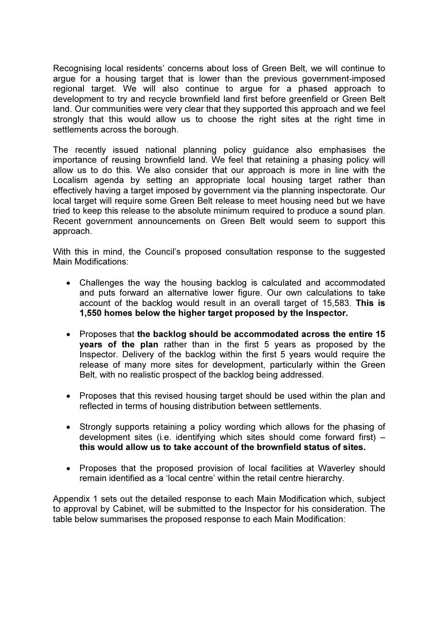Recognising local residents' concerns about loss of Green Belt, we will continue to argue for a housing target that is lower than the previous government-imposed regional target. We will also continue to argue for a phased approach to development to try and recycle brownfield land first before greenfield or Green Belt land. Our communities were very clear that they supported this approach and we feel strongly that this would allow us to choose the right sites at the right time in settlements across the borough.

The recently issued national planning policy guidance also emphasises the importance of reusing brownfield land. We feel that retaining a phasing policy will allow us to do this. We also consider that our approach is more in line with the Localism agenda by setting an appropriate local housing target rather than effectively having a target imposed by government via the planning inspectorate. Our local target will require some Green Belt release to meet housing need but we have tried to keep this release to the absolute minimum required to produce a sound plan. Recent government announcements on Green Belt would seem to support this approach.

With this in mind, the Council's proposed consultation response to the suggested Main Modifications:

- Challenges the way the housing backlog is calculated and accommodated and puts forward an alternative lower figure. Our own calculations to take account of the backlog would result in an overall target of 15,583. This is 1,550 homes below the higher target proposed by the Inspector.
- Proposes that the backlog should be accommodated across the entire 15 years of the plan rather than in the first 5 years as proposed by the Inspector. Delivery of the backlog within the first 5 years would require the release of many more sites for development, particularly within the Green Belt, with no realistic prospect of the backlog being addressed.
- Proposes that this revised housing target should be used within the plan and reflected in terms of housing distribution between settlements.
- Strongly supports retaining a policy wording which allows for the phasing of development sites (i.e. identifying which sites should come forward first) – this would allow us to take account of the brownfield status of sites.
- Proposes that the proposed provision of local facilities at Waverley should remain identified as a 'local centre' within the retail centre hierarchy.

Appendix 1 sets out the detailed response to each Main Modification which, subject to approval by Cabinet, will be submitted to the Inspector for his consideration. The table below summarises the proposed response to each Main Modification: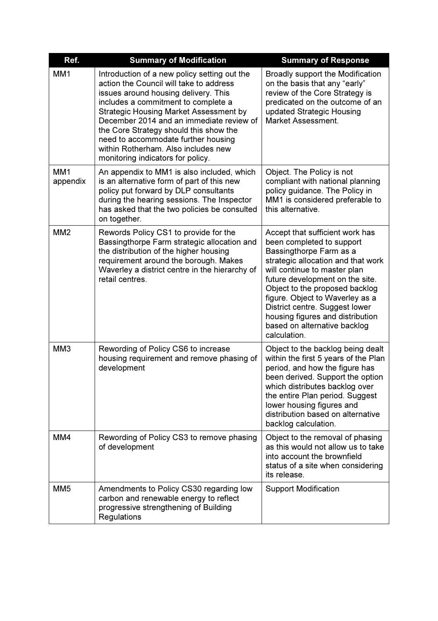| Ref.                        | <b>Summary of Modification</b>                                                                                                                                                                                                                                                                                                                                                                                                   | <b>Summary of Response</b>                                                                                                                                                                                                                                                                                                                                                                  |
|-----------------------------|----------------------------------------------------------------------------------------------------------------------------------------------------------------------------------------------------------------------------------------------------------------------------------------------------------------------------------------------------------------------------------------------------------------------------------|---------------------------------------------------------------------------------------------------------------------------------------------------------------------------------------------------------------------------------------------------------------------------------------------------------------------------------------------------------------------------------------------|
| MM <sub>1</sub>             | Introduction of a new policy setting out the<br>action the Council will take to address<br>issues around housing delivery. This<br>includes a commitment to complete a<br><b>Strategic Housing Market Assessment by</b><br>December 2014 and an immediate review of<br>the Core Strategy should this show the<br>need to accommodate further housing<br>within Rotherham. Also includes new<br>monitoring indicators for policy. | Broadly support the Modification<br>on the basis that any "early"<br>review of the Core Strategy is<br>predicated on the outcome of an<br>updated Strategic Housing<br><b>Market Assessment.</b>                                                                                                                                                                                            |
| MM <sub>1</sub><br>appendix | An appendix to MM1 is also included, which<br>is an alternative form of part of this new<br>policy put forward by DLP consultants<br>during the hearing sessions. The Inspector<br>has asked that the two policies be consulted<br>on together.                                                                                                                                                                                  | Object. The Policy is not<br>compliant with national planning<br>policy guidance. The Policy in<br>MM1 is considered preferable to<br>this alternative.                                                                                                                                                                                                                                     |
| MM <sub>2</sub>             | Rewords Policy CS1 to provide for the<br>Bassingthorpe Farm strategic allocation and<br>the distribution of the higher housing<br>requirement around the borough. Makes<br>Waverley a district centre in the hierarchy of<br>retail centres.                                                                                                                                                                                     | Accept that sufficient work has<br>been completed to support<br>Bassingthorpe Farm as a<br>strategic allocation and that work<br>will continue to master plan<br>future development on the site.<br>Object to the proposed backlog<br>figure. Object to Waverley as a<br>District centre. Suggest lower<br>housing figures and distribution<br>based on alternative backlog<br>calculation. |
| MM <sub>3</sub>             | Rewording of Policy CS6 to increase<br>housing requirement and remove phasing of<br>development                                                                                                                                                                                                                                                                                                                                  | Object to the backlog being dealt<br>within the first 5 years of the Plan<br>period, and how the figure has<br>been derived. Support the option<br>which distributes backlog over<br>the entire Plan period. Suggest<br>lower housing figures and<br>distribution based on alternative<br>backlog calculation.                                                                              |
| MM4                         | Rewording of Policy CS3 to remove phasing<br>of development                                                                                                                                                                                                                                                                                                                                                                      | Object to the removal of phasing<br>as this would not allow us to take<br>into account the brownfield<br>status of a site when considering<br>its release.                                                                                                                                                                                                                                  |
| MM <sub>5</sub>             | Amendments to Policy CS30 regarding low<br>carbon and renewable energy to reflect<br>progressive strengthening of Building<br>Regulations                                                                                                                                                                                                                                                                                        | <b>Support Modification</b>                                                                                                                                                                                                                                                                                                                                                                 |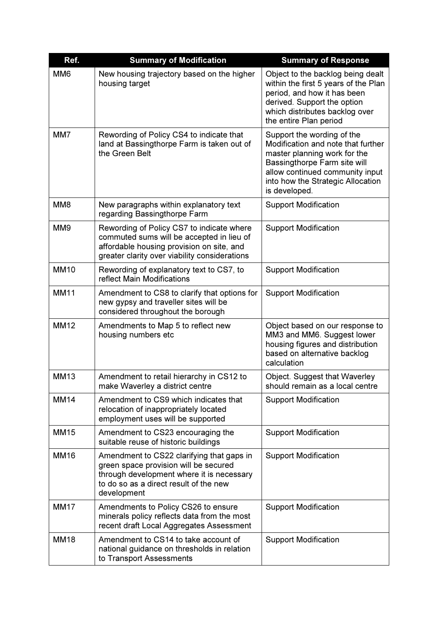| Ref.            | <b>Summary of Modification</b>                                                                                                                                                           | <b>Summary of Response</b>                                                                                                                                                                                                |
|-----------------|------------------------------------------------------------------------------------------------------------------------------------------------------------------------------------------|---------------------------------------------------------------------------------------------------------------------------------------------------------------------------------------------------------------------------|
| MM <sub>6</sub> | New housing trajectory based on the higher<br>housing target                                                                                                                             | Object to the backlog being dealt<br>within the first 5 years of the Plan<br>period, and how it has been<br>derived. Support the option<br>which distributes backlog over<br>the entire Plan period                       |
| MM7             | Rewording of Policy CS4 to indicate that<br>land at Bassingthorpe Farm is taken out of<br>the Green Belt                                                                                 | Support the wording of the<br>Modification and note that further<br>master planning work for the<br>Bassingthorpe Farm site will<br>allow continued community input<br>into how the Strategic Allocation<br>is developed. |
| MM <sub>8</sub> | New paragraphs within explanatory text<br>regarding Bassingthorpe Farm                                                                                                                   | <b>Support Modification</b>                                                                                                                                                                                               |
| MM <sub>9</sub> | Rewording of Policy CS7 to indicate where<br>commuted sums will be accepted in lieu of<br>affordable housing provision on site, and<br>greater clarity over viability considerations     | <b>Support Modification</b>                                                                                                                                                                                               |
| <b>MM10</b>     | Rewording of explanatory text to CS7, to<br>reflect Main Modifications                                                                                                                   | <b>Support Modification</b>                                                                                                                                                                                               |
| <b>MM11</b>     | Amendment to CS8 to clarify that options for<br>new gypsy and traveller sites will be<br>considered throughout the borough                                                               | <b>Support Modification</b>                                                                                                                                                                                               |
| <b>MM12</b>     | Amendments to Map 5 to reflect new<br>housing numbers etc                                                                                                                                | Object based on our response to<br>MM3 and MM6. Suggest lower<br>housing figures and distribution<br>based on alternative backlog<br>calculation                                                                          |
| <b>MM13</b>     | Amendment to retail hierarchy in CS12 to<br>make Waverley a district centre                                                                                                              | Object. Suggest that Waverley<br>should remain as a local centre                                                                                                                                                          |
| <b>MM14</b>     | Amendment to CS9 which indicates that<br>relocation of inappropriately located<br>employment uses will be supported                                                                      | <b>Support Modification</b>                                                                                                                                                                                               |
| <b>MM15</b>     | Amendment to CS23 encouraging the<br>suitable reuse of historic buildings                                                                                                                | <b>Support Modification</b>                                                                                                                                                                                               |
| <b>MM16</b>     | Amendment to CS22 clarifying that gaps in<br>green space provision will be secured<br>through development where it is necessary<br>to do so as a direct result of the new<br>development | <b>Support Modification</b>                                                                                                                                                                                               |
| <b>MM17</b>     | Amendments to Policy CS26 to ensure<br>minerals policy reflects data from the most<br>recent draft Local Aggregates Assessment                                                           | <b>Support Modification</b>                                                                                                                                                                                               |
| <b>MM18</b>     | Amendment to CS14 to take account of<br>national guidance on thresholds in relation<br>to Transport Assessments                                                                          | <b>Support Modification</b>                                                                                                                                                                                               |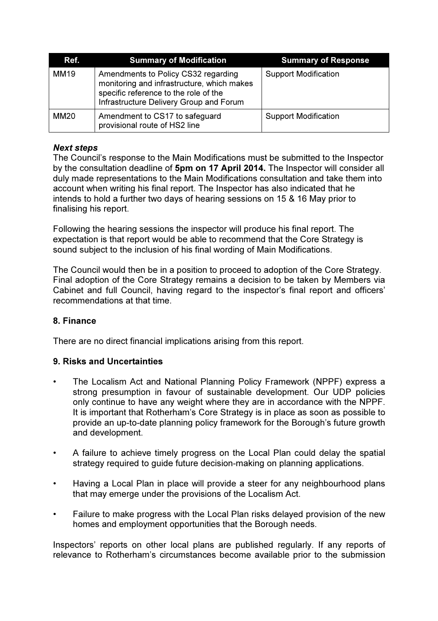| Ref.        | <b>Summary of Modification</b>                                                                                                                                        | <b>Summary of Response</b>  |
|-------------|-----------------------------------------------------------------------------------------------------------------------------------------------------------------------|-----------------------------|
| <b>MM19</b> | Amendments to Policy CS32 regarding<br>monitoring and infrastructure, which makes<br>specific reference to the role of the<br>Infrastructure Delivery Group and Forum | <b>Support Modification</b> |
| <b>MM20</b> | Amendment to CS17 to safeguard<br>provisional route of HS2 line                                                                                                       | <b>Support Modification</b> |

# Next steps

The Council's response to the Main Modifications must be submitted to the Inspector by the consultation deadline of 5pm on 17 April 2014. The Inspector will consider all duly made representations to the Main Modifications consultation and take them into account when writing his final report. The Inspector has also indicated that he intends to hold a further two days of hearing sessions on 15 & 16 May prior to finalising his report.

Following the hearing sessions the inspector will produce his final report. The expectation is that report would be able to recommend that the Core Strategy is sound subject to the inclusion of his final wording of Main Modifications.

The Council would then be in a position to proceed to adoption of the Core Strategy. Final adoption of the Core Strategy remains a decision to be taken by Members via Cabinet and full Council, having regard to the inspector's final report and officers' recommendations at that time.

# 8. Finance

There are no direct financial implications arising from this report.

# 9. Risks and Uncertainties

- The Localism Act and National Planning Policy Framework (NPPF) express a strong presumption in favour of sustainable development. Our UDP policies only continue to have any weight where they are in accordance with the NPPF. It is important that Rotherham's Core Strategy is in place as soon as possible to provide an up-to-date planning policy framework for the Borough's future growth and development.
- A failure to achieve timely progress on the Local Plan could delay the spatial strategy required to guide future decision-making on planning applications.
- Having a Local Plan in place will provide a steer for any neighbourhood plans that may emerge under the provisions of the Localism Act.
- Failure to make progress with the Local Plan risks delayed provision of the new homes and employment opportunities that the Borough needs.

Inspectors' reports on other local plans are published regularly. If any reports of relevance to Rotherham's circumstances become available prior to the submission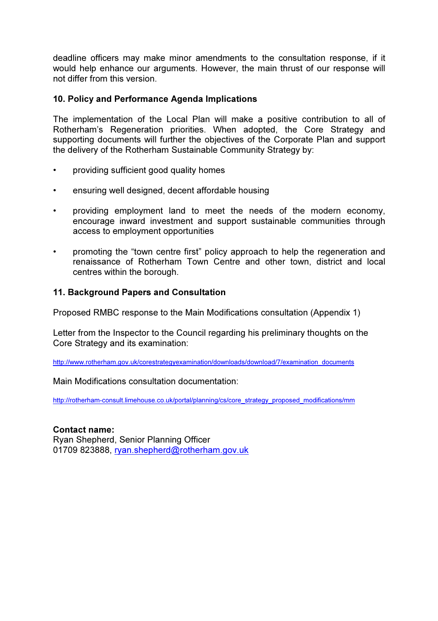deadline officers may make minor amendments to the consultation response, if it would help enhance our arguments. However, the main thrust of our response will not differ from this version.

# 10. Policy and Performance Agenda Implications

The implementation of the Local Plan will make a positive contribution to all of Rotherham's Regeneration priorities. When adopted, the Core Strategy and supporting documents will further the objectives of the Corporate Plan and support the delivery of the Rotherham Sustainable Community Strategy by:

- providing sufficient good quality homes
- ensuring well designed, decent affordable housing
- providing employment land to meet the needs of the modern economy, encourage inward investment and support sustainable communities through access to employment opportunities
- promoting the "town centre first" policy approach to help the regeneration and renaissance of Rotherham Town Centre and other town, district and local centres within the borough.

# 11. Background Papers and Consultation

Proposed RMBC response to the Main Modifications consultation (Appendix 1)

Letter from the Inspector to the Council regarding his preliminary thoughts on the Core Strategy and its examination:

http://www.rotherham.gov.uk/corestrategyexamination/downloads/download/7/examination\_documents

Main Modifications consultation documentation:

http://rotherham-consult.limehouse.co.uk/portal/planning/cs/core\_strategy\_proposed\_modifications/mm

# Contact name:

Ryan Shepherd, Senior Planning Officer 01709 823888, ryan.shepherd@rotherham.gov.uk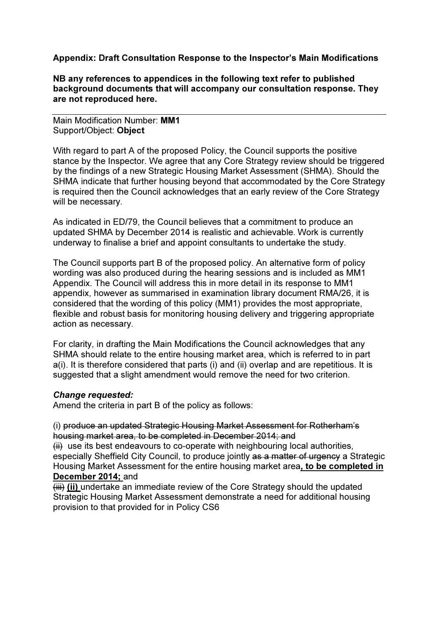# Appendix: Draft Consultation Response to the Inspector's Main Modifications

NB any references to appendices in the following text refer to published background documents that will accompany our consultation response. They are not reproduced here.

Main Modification Number: MM1 Support/Object: Object

With regard to part A of the proposed Policy, the Council supports the positive stance by the Inspector. We agree that any Core Strategy review should be triggered by the findings of a new Strategic Housing Market Assessment (SHMA). Should the SHMA indicate that further housing beyond that accommodated by the Core Strategy is required then the Council acknowledges that an early review of the Core Strategy will be necessary.

As indicated in ED/79, the Council believes that a commitment to produce an updated SHMA by December 2014 is realistic and achievable. Work is currently underway to finalise a brief and appoint consultants to undertake the study.

The Council supports part B of the proposed policy. An alternative form of policy wording was also produced during the hearing sessions and is included as MM1 Appendix. The Council will address this in more detail in its response to MM1 appendix, however as summarised in examination library document RMA/26, it is considered that the wording of this policy (MM1) provides the most appropriate, flexible and robust basis for monitoring housing delivery and triggering appropriate action as necessary.

For clarity, in drafting the Main Modifications the Council acknowledges that any SHMA should relate to the entire housing market area, which is referred to in part a(i). It is therefore considered that parts (i) and (ii) overlap and are repetitious. It is suggested that a slight amendment would remove the need for two criterion.

# Change requested:

Amend the criteria in part B of the policy as follows:

(i) produce an updated Strategic Housing Market Assessment for Rotherham's housing market area, to be completed in December 2014; and

 $\overline{f}$  use its best endeavours to co-operate with neighbouring local authorities, especially Sheffield City Council, to produce jointly as a matter of urgency a Strategic Housing Market Assessment for the entire housing market area, to be completed in December 2014; and

 $(iii)$  (ii) undertake an immediate review of the Core Strategy should the updated Strategic Housing Market Assessment demonstrate a need for additional housing provision to that provided for in Policy CS6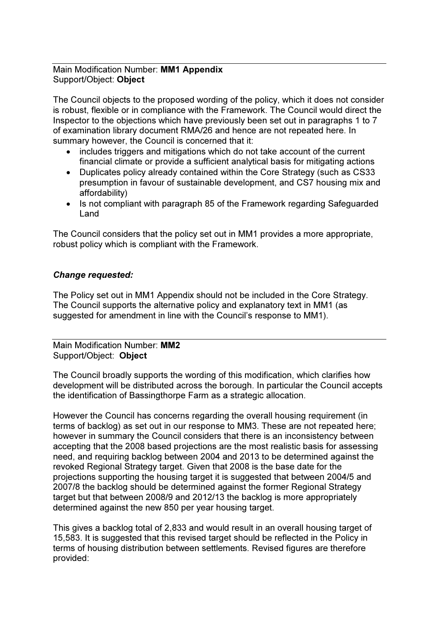# Main Modification Number: MM1 Appendix Support/Object: Object

The Council objects to the proposed wording of the policy, which it does not consider is robust, flexible or in compliance with the Framework. The Council would direct the Inspector to the objections which have previously been set out in paragraphs 1 to 7 of examination library document RMA/26 and hence are not repeated here. In summary however, the Council is concerned that it:

- includes triggers and mitigations which do not take account of the current financial climate or provide a sufficient analytical basis for mitigating actions
- Duplicates policy already contained within the Core Strategy (such as CS33 presumption in favour of sustainable development, and CS7 housing mix and affordability)
- Is not compliant with paragraph 85 of the Framework regarding Safeguarded Land

The Council considers that the policy set out in MM1 provides a more appropriate, robust policy which is compliant with the Framework.

# Change requested:

The Policy set out in MM1 Appendix should not be included in the Core Strategy. The Council supports the alternative policy and explanatory text in MM1 (as suggested for amendment in line with the Council's response to MM1).

Main Modification Number: MM2 Support/Object: Object

The Council broadly supports the wording of this modification, which clarifies how development will be distributed across the borough. In particular the Council accepts the identification of Bassingthorpe Farm as a strategic allocation.

However the Council has concerns regarding the overall housing requirement (in terms of backlog) as set out in our response to MM3. These are not repeated here; however in summary the Council considers that there is an inconsistency between accepting that the 2008 based projections are the most realistic basis for assessing need, and requiring backlog between 2004 and 2013 to be determined against the revoked Regional Strategy target. Given that 2008 is the base date for the projections supporting the housing target it is suggested that between 2004/5 and 2007/8 the backlog should be determined against the former Regional Strategy target but that between 2008/9 and 2012/13 the backlog is more appropriately determined against the new 850 per year housing target.

This gives a backlog total of 2,833 and would result in an overall housing target of 15,583. It is suggested that this revised target should be reflected in the Policy in terms of housing distribution between settlements. Revised figures are therefore provided: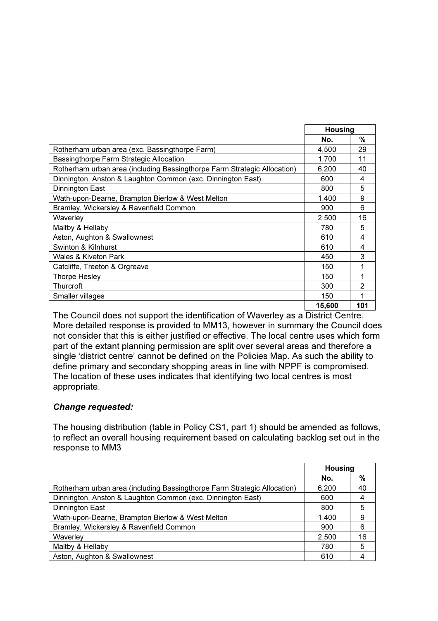|                                                                          | <b>Housing</b> |     |
|--------------------------------------------------------------------------|----------------|-----|
|                                                                          | No.            | %   |
| Rotherham urban area (exc. Bassingthorpe Farm)                           | 4,500          | 29  |
| Bassingthorpe Farm Strategic Allocation                                  | 1,700          | 11  |
| Rotherham urban area (including Bassingthorpe Farm Strategic Allocation) | 6,200          | 40  |
| Dinnington, Anston & Laughton Common (exc. Dinnington East)              | 600            | 4   |
| Dinnington East                                                          | 800            | 5   |
| Wath-upon-Dearne, Brampton Bierlow & West Melton                         | 1,400          | 9   |
| Bramley, Wickersley & Ravenfield Common                                  | 900            | 6   |
| Waverley                                                                 | 2,500          | 16  |
| Maltby & Hellaby                                                         | 780            | 5   |
| Aston, Aughton & Swallownest                                             | 610            | 4   |
| Swinton & Kilnhurst                                                      | 610            | 4   |
| Wales & Kiveton Park                                                     | 450            | 3   |
| Catcliffe, Treeton & Orgreave                                            | 150            | 1   |
| Thorpe Hesley                                                            | 150            |     |
| Thurcroft                                                                | 300            | 2   |
| Smaller villages                                                         | 150            |     |
|                                                                          | 15,600         | 101 |

The Council does not support the identification of Waverley as a District Centre. More detailed response is provided to MM13, however in summary the Council does not consider that this is either justified or effective. The local centre uses which form part of the extant planning permission are split over several areas and therefore a single 'district centre' cannot be defined on the Policies Map. As such the ability to define primary and secondary shopping areas in line with NPPF is compromised. The location of these uses indicates that identifying two local centres is most appropriate.

# Change requested:

The housing distribution (table in Policy CS1, part 1) should be amended as follows, to reflect an overall housing requirement based on calculating backlog set out in the response to MM3

|                                                                          | Housing |    |
|--------------------------------------------------------------------------|---------|----|
|                                                                          | No.     | %  |
| Rotherham urban area (including Bassingthorpe Farm Strategic Allocation) | 6,200   | 40 |
| Dinnington, Anston & Laughton Common (exc. Dinnington East)              | 600     | 4  |
| Dinnington East                                                          | 800     | 5  |
| Wath-upon-Dearne, Brampton Bierlow & West Melton                         | 1.400   | 9  |
| Bramley, Wickersley & Ravenfield Common                                  | 900     | 6  |
| Waverley                                                                 | 2,500   | 16 |
| Maltby & Hellaby                                                         | 780     | 5  |
| Aston, Aughton & Swallownest                                             | 610     |    |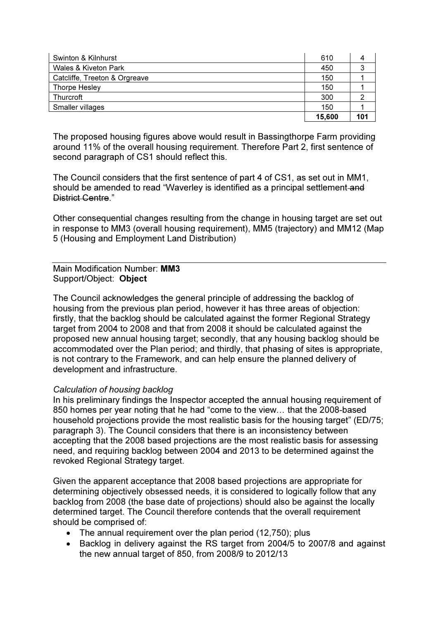| Swinton & Kilnhurst           | 610    |     |
|-------------------------------|--------|-----|
| Wales & Kiveton Park          | 450    |     |
| Catcliffe, Treeton & Orgreave | 150    |     |
| Thorpe Hesley                 | 150    |     |
| Thurcroft                     | 300    |     |
| Smaller villages              | 150    |     |
|                               | 15,600 | 101 |

The proposed housing figures above would result in Bassingthorpe Farm providing around 11% of the overall housing requirement. Therefore Part 2, first sentence of second paragraph of CS1 should reflect this.

The Council considers that the first sentence of part 4 of CS1, as set out in MM1, should be amended to read "Waverley is identified as a principal settlement-and District Centre."

Other consequential changes resulting from the change in housing target are set out in response to MM3 (overall housing requirement), MM5 (trajectory) and MM12 (Map 5 (Housing and Employment Land Distribution)

### Main Modification Number: MM3 Support/Object: Object

The Council acknowledges the general principle of addressing the backlog of housing from the previous plan period, however it has three areas of objection: firstly, that the backlog should be calculated against the former Regional Strategy target from 2004 to 2008 and that from 2008 it should be calculated against the proposed new annual housing target; secondly, that any housing backlog should be accommodated over the Plan period; and thirdly, that phasing of sites is appropriate, is not contrary to the Framework, and can help ensure the planned delivery of development and infrastructure.

# Calculation of housing backlog

In his preliminary findings the Inspector accepted the annual housing requirement of 850 homes per year noting that he had "come to the view… that the 2008-based household projections provide the most realistic basis for the housing target" (ED/75; paragraph 3). The Council considers that there is an inconsistency between accepting that the 2008 based projections are the most realistic basis for assessing need, and requiring backlog between 2004 and 2013 to be determined against the revoked Regional Strategy target.

Given the apparent acceptance that 2008 based projections are appropriate for determining objectively obsessed needs, it is considered to logically follow that any backlog from 2008 (the base date of projections) should also be against the locally determined target. The Council therefore contends that the overall requirement should be comprised of:

- The annual requirement over the plan period (12,750); plus
- Backlog in delivery against the RS target from 2004/5 to 2007/8 and against the new annual target of 850, from 2008/9 to 2012/13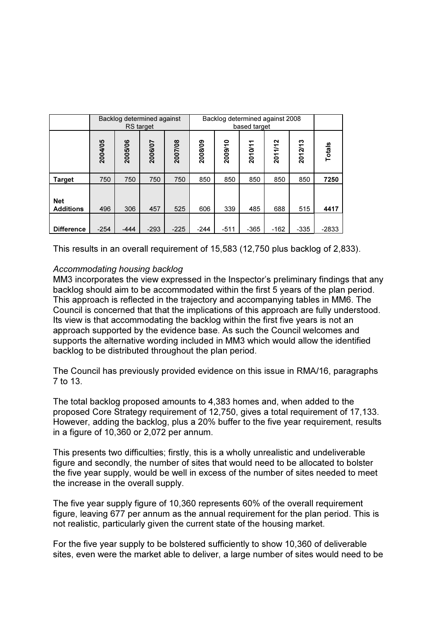|                                | Backlog determined against 2008<br>Backlog determined against<br><b>RS</b> target<br>based target |         |         |         |         |         |         |         |         |         |
|--------------------------------|---------------------------------------------------------------------------------------------------|---------|---------|---------|---------|---------|---------|---------|---------|---------|
|                                | 2004/05                                                                                           | 2005/06 | 2006/07 | 2007/08 | 2008/09 | 2009/10 | 2010/11 | 2011/12 | 2012/13 | Totals  |
| <b>Target</b>                  | 750                                                                                               | 750     | 750     | 750     | 850     | 850     | 850     | 850     | 850     | 7250    |
| <b>Net</b><br><b>Additions</b> | 496                                                                                               | 306     | 457     | 525     | 606     | 339     | 485     | 688     | 515     | 4417    |
| <b>Difference</b>              | $-254$                                                                                            | -444    | $-293$  | $-225$  | $-244$  | $-511$  | $-365$  | $-162$  | $-335$  | $-2833$ |

This results in an overall requirement of 15,583 (12,750 plus backlog of 2,833).

# Accommodating housing backlog

MM3 incorporates the view expressed in the Inspector's preliminary findings that any backlog should aim to be accommodated within the first 5 years of the plan period. This approach is reflected in the trajectory and accompanying tables in MM6. The Council is concerned that that the implications of this approach are fully understood. Its view is that accommodating the backlog within the first five years is not an approach supported by the evidence base. As such the Council welcomes and supports the alternative wording included in MM3 which would allow the identified backlog to be distributed throughout the plan period.

The Council has previously provided evidence on this issue in RMA/16, paragraphs 7 to 13.

The total backlog proposed amounts to 4,383 homes and, when added to the proposed Core Strategy requirement of 12,750, gives a total requirement of 17,133. However, adding the backlog, plus a 20% buffer to the five year requirement, results in a figure of 10,360 or 2,072 per annum.

This presents two difficulties; firstly, this is a wholly unrealistic and undeliverable figure and secondly, the number of sites that would need to be allocated to bolster the five year supply, would be well in excess of the number of sites needed to meet the increase in the overall supply.

The five year supply figure of 10,360 represents 60% of the overall requirement figure, leaving 677 per annum as the annual requirement for the plan period. This is not realistic, particularly given the current state of the housing market.

For the five year supply to be bolstered sufficiently to show 10,360 of deliverable sites, even were the market able to deliver, a large number of sites would need to be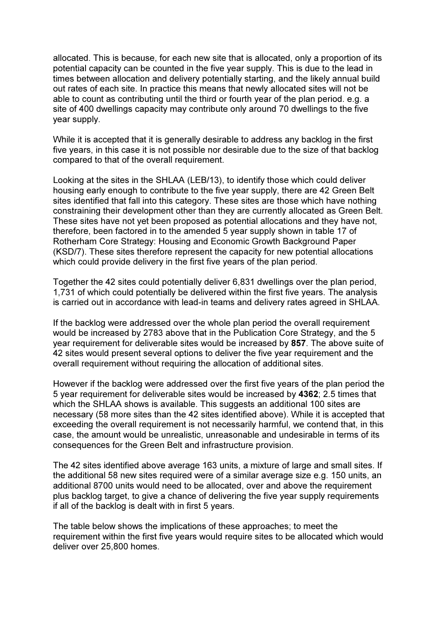allocated. This is because, for each new site that is allocated, only a proportion of its potential capacity can be counted in the five year supply. This is due to the lead in times between allocation and delivery potentially starting, and the likely annual build out rates of each site. In practice this means that newly allocated sites will not be able to count as contributing until the third or fourth year of the plan period. e.g. a site of 400 dwellings capacity may contribute only around 70 dwellings to the five year supply.

While it is accepted that it is generally desirable to address any backlog in the first five years, in this case it is not possible nor desirable due to the size of that backlog compared to that of the overall requirement.

Looking at the sites in the SHLAA (LEB/13), to identify those which could deliver housing early enough to contribute to the five year supply, there are 42 Green Belt sites identified that fall into this category. These sites are those which have nothing constraining their development other than they are currently allocated as Green Belt. These sites have not yet been proposed as potential allocations and they have not, therefore, been factored in to the amended 5 year supply shown in table 17 of Rotherham Core Strategy: Housing and Economic Growth Background Paper (KSD/7). These sites therefore represent the capacity for new potential allocations which could provide delivery in the first five years of the plan period.

Together the 42 sites could potentially deliver 6,831 dwellings over the plan period, 1,731 of which could potentially be delivered within the first five years. The analysis is carried out in accordance with lead-in teams and delivery rates agreed in SHLAA.

If the backlog were addressed over the whole plan period the overall requirement would be increased by 2783 above that in the Publication Core Strategy, and the 5 year requirement for deliverable sites would be increased by 857. The above suite of 42 sites would present several options to deliver the five year requirement and the overall requirement without requiring the allocation of additional sites.

However if the backlog were addressed over the first five years of the plan period the 5 year requirement for deliverable sites would be increased by 4362; 2.5 times that which the SHLAA shows is available. This suggests an additional 100 sites are necessary (58 more sites than the 42 sites identified above). While it is accepted that exceeding the overall requirement is not necessarily harmful, we contend that, in this case, the amount would be unrealistic, unreasonable and undesirable in terms of its consequences for the Green Belt and infrastructure provision.

The 42 sites identified above average 163 units, a mixture of large and small sites. If the additional 58 new sites required were of a similar average size e.g. 150 units, an additional 8700 units would need to be allocated, over and above the requirement plus backlog target, to give a chance of delivering the five year supply requirements if all of the backlog is dealt with in first 5 years.

The table below shows the implications of these approaches; to meet the requirement within the first five years would require sites to be allocated which would deliver over 25,800 homes.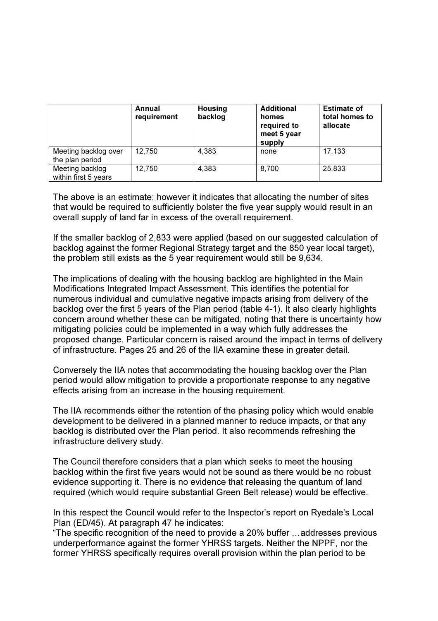|                                         | Annual<br>requirement | <b>Housing</b><br>backlog | <b>Additional</b><br>homes<br>required to<br>meet 5 year<br>supply | <b>Estimate of</b><br>total homes to<br>allocate |
|-----------------------------------------|-----------------------|---------------------------|--------------------------------------------------------------------|--------------------------------------------------|
| Meeting backlog over<br>the plan period | 12,750                | 4,383                     | none                                                               | 17,133                                           |
| Meeting backlog<br>within first 5 years | 12,750                | 4,383                     | 8,700                                                              | 25,833                                           |

The above is an estimate; however it indicates that allocating the number of sites that would be required to sufficiently bolster the five year supply would result in an overall supply of land far in excess of the overall requirement.

If the smaller backlog of 2,833 were applied (based on our suggested calculation of backlog against the former Regional Strategy target and the 850 year local target), the problem still exists as the 5 year requirement would still be 9,634.

The implications of dealing with the housing backlog are highlighted in the Main Modifications Integrated Impact Assessment. This identifies the potential for numerous individual and cumulative negative impacts arising from delivery of the backlog over the first 5 years of the Plan period (table 4-1). It also clearly highlights concern around whether these can be mitigated, noting that there is uncertainty how mitigating policies could be implemented in a way which fully addresses the proposed change. Particular concern is raised around the impact in terms of delivery of infrastructure. Pages 25 and 26 of the IIA examine these in greater detail.

Conversely the IIA notes that accommodating the housing backlog over the Plan period would allow mitigation to provide a proportionate response to any negative effects arising from an increase in the housing requirement.

The IIA recommends either the retention of the phasing policy which would enable development to be delivered in a planned manner to reduce impacts, or that any backlog is distributed over the Plan period. It also recommends refreshing the infrastructure delivery study.

The Council therefore considers that a plan which seeks to meet the housing backlog within the first five years would not be sound as there would be no robust evidence supporting it. There is no evidence that releasing the quantum of land required (which would require substantial Green Belt release) would be effective.

In this respect the Council would refer to the Inspector's report on Ryedale's Local Plan (ED/45). At paragraph 47 he indicates:

"The specific recognition of the need to provide a 20% buffer …addresses previous underperformance against the former YHRSS targets. Neither the NPPF, nor the former YHRSS specifically requires overall provision within the plan period to be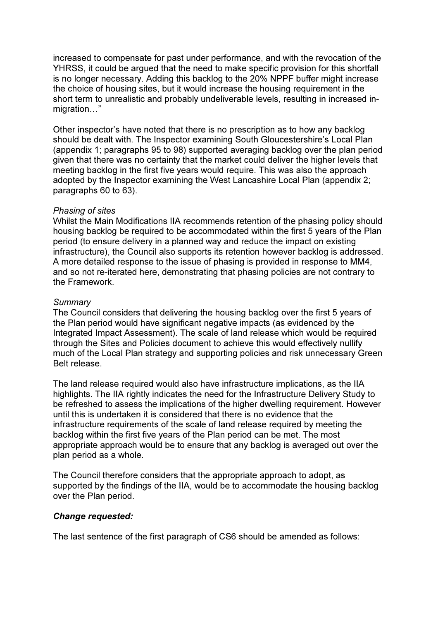increased to compensate for past under performance, and with the revocation of the YHRSS, it could be argued that the need to make specific provision for this shortfall is no longer necessary. Adding this backlog to the 20% NPPF buffer might increase the choice of housing sites, but it would increase the housing requirement in the short term to unrealistic and probably undeliverable levels, resulting in increased inmigration…"

Other inspector's have noted that there is no prescription as to how any backlog should be dealt with. The Inspector examining South Gloucestershire's Local Plan (appendix 1; paragraphs 95 to 98) supported averaging backlog over the plan period given that there was no certainty that the market could deliver the higher levels that meeting backlog in the first five years would require. This was also the approach adopted by the Inspector examining the West Lancashire Local Plan (appendix 2; paragraphs 60 to 63).

### Phasing of sites

Whilst the Main Modifications IIA recommends retention of the phasing policy should housing backlog be required to be accommodated within the first 5 years of the Plan period (to ensure delivery in a planned way and reduce the impact on existing infrastructure), the Council also supports its retention however backlog is addressed. A more detailed response to the issue of phasing is provided in response to MM4, and so not re-iterated here, demonstrating that phasing policies are not contrary to the Framework.

#### **Summary**

The Council considers that delivering the housing backlog over the first 5 years of the Plan period would have significant negative impacts (as evidenced by the Integrated Impact Assessment). The scale of land release which would be required through the Sites and Policies document to achieve this would effectively nullify much of the Local Plan strategy and supporting policies and risk unnecessary Green Belt release.

The land release required would also have infrastructure implications, as the IIA highlights. The IIA rightly indicates the need for the Infrastructure Delivery Study to be refreshed to assess the implications of the higher dwelling requirement. However until this is undertaken it is considered that there is no evidence that the infrastructure requirements of the scale of land release required by meeting the backlog within the first five years of the Plan period can be met. The most appropriate approach would be to ensure that any backlog is averaged out over the plan period as a whole.

The Council therefore considers that the appropriate approach to adopt, as supported by the findings of the IIA, would be to accommodate the housing backlog over the Plan period.

#### Change requested:

The last sentence of the first paragraph of CS6 should be amended as follows: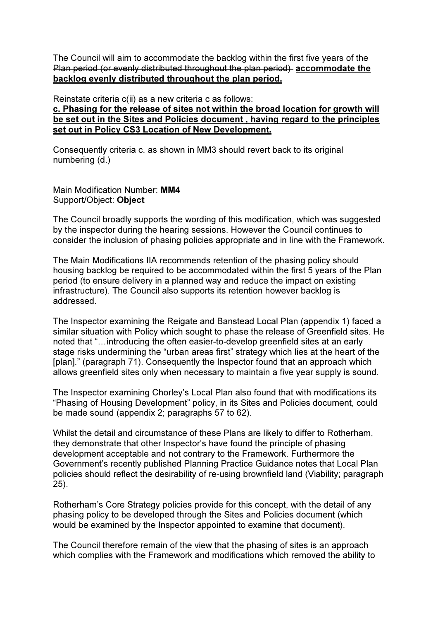The Council will aim to accommodate the backlog within the first five years of the Plan period (or evenly distributed throughout the plan period) accommodate the backlog evenly distributed throughout the plan period.

Reinstate criteria c(ii) as a new criteria c as follows:

c. Phasing for the release of sites not within the broad location for growth will be set out in the Sites and Policies document , having regard to the principles set out in Policy CS3 Location of New Development.

Consequently criteria c. as shown in MM3 should revert back to its original numbering (d.)

Main Modification Number: MM4 Support/Object: Object

The Council broadly supports the wording of this modification, which was suggested by the inspector during the hearing sessions. However the Council continues to consider the inclusion of phasing policies appropriate and in line with the Framework.

The Main Modifications IIA recommends retention of the phasing policy should housing backlog be required to be accommodated within the first 5 years of the Plan period (to ensure delivery in a planned way and reduce the impact on existing infrastructure). The Council also supports its retention however backlog is addressed.

The Inspector examining the Reigate and Banstead Local Plan (appendix 1) faced a similar situation with Policy which sought to phase the release of Greenfield sites. He noted that "…introducing the often easier-to-develop greenfield sites at an early stage risks undermining the "urban areas first" strategy which lies at the heart of the [plan]." (paragraph 71). Consequently the Inspector found that an approach which allows greenfield sites only when necessary to maintain a five year supply is sound.

The Inspector examining Chorley's Local Plan also found that with modifications its "Phasing of Housing Development" policy, in its Sites and Policies document, could be made sound (appendix 2; paragraphs 57 to 62).

Whilst the detail and circumstance of these Plans are likely to differ to Rotherham, they demonstrate that other Inspector's have found the principle of phasing development acceptable and not contrary to the Framework. Furthermore the Government's recently published Planning Practice Guidance notes that Local Plan policies should reflect the desirability of re-using brownfield land (Viability; paragraph 25).

Rotherham's Core Strategy policies provide for this concept, with the detail of any phasing policy to be developed through the Sites and Policies document (which would be examined by the Inspector appointed to examine that document).

The Council therefore remain of the view that the phasing of sites is an approach which complies with the Framework and modifications which removed the ability to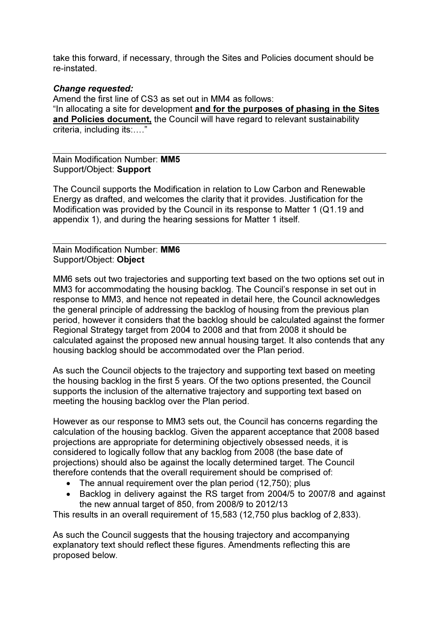take this forward, if necessary, through the Sites and Policies document should be re-instated.

# Change requested:

Amend the first line of CS3 as set out in MM4 as follows: "In allocating a site for development and for the purposes of phasing in the Sites and Policies document, the Council will have regard to relevant sustainability criteria, including its:…."

Main Modification Number: MM5 Support/Object: Support

The Council supports the Modification in relation to Low Carbon and Renewable Energy as drafted, and welcomes the clarity that it provides. Justification for the Modification was provided by the Council in its response to Matter 1 (Q1.19 and appendix 1), and during the hearing sessions for Matter 1 itself.

Main Modification Number: MM6 Support/Object: Object

MM6 sets out two trajectories and supporting text based on the two options set out in MM3 for accommodating the housing backlog. The Council's response in set out in response to MM3, and hence not repeated in detail here, the Council acknowledges the general principle of addressing the backlog of housing from the previous plan period, however it considers that the backlog should be calculated against the former Regional Strategy target from 2004 to 2008 and that from 2008 it should be calculated against the proposed new annual housing target. It also contends that any housing backlog should be accommodated over the Plan period.

As such the Council objects to the trajectory and supporting text based on meeting the housing backlog in the first 5 years. Of the two options presented, the Council supports the inclusion of the alternative trajectory and supporting text based on meeting the housing backlog over the Plan period.

However as our response to MM3 sets out, the Council has concerns regarding the calculation of the housing backlog. Given the apparent acceptance that 2008 based projections are appropriate for determining objectively obsessed needs, it is considered to logically follow that any backlog from 2008 (the base date of projections) should also be against the locally determined target. The Council therefore contends that the overall requirement should be comprised of:

- The annual requirement over the plan period (12,750); plus
- Backlog in delivery against the RS target from 2004/5 to 2007/8 and against the new annual target of 850, from 2008/9 to 2012/13

This results in an overall requirement of 15,583 (12,750 plus backlog of 2,833).

As such the Council suggests that the housing trajectory and accompanying explanatory text should reflect these figures. Amendments reflecting this are proposed below.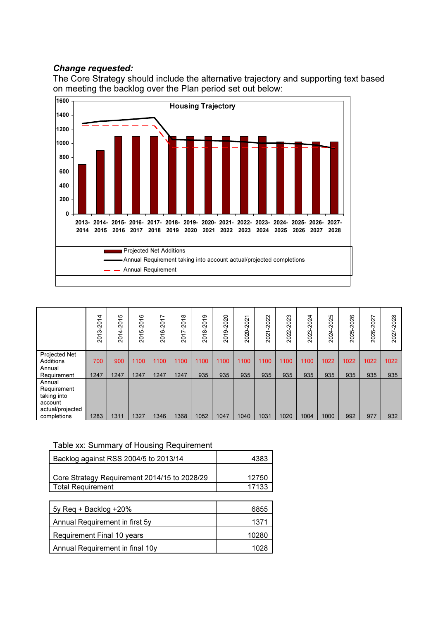# Change requested:

The Core Strategy should include the alternative trajectory and supporting text based on meeting the backlog over the Plan period set out below:



|                                                 | $-2014$<br>ო<br>201 | ഗ<br>$\overline{201}$<br>4<br>$\overline{\phantom{0}}$<br>$\overline{S}$ | 2016<br>ιġ<br>201 | $\overline{ }$<br>201<br>2016- | $-2018$<br>↖<br>201 | 2018-2019 | 2019-2020 | $\overline{\phantom{0}}$<br>202<br>2020- | 2022<br>$\overline{\phantom{0}}$<br>202 | 2023<br>2022-2 | $-2024$<br>2023- | 2024-2025 | 2025-2026 | 2027<br>2026- | 2028<br>Ñ<br>202 |
|-------------------------------------------------|---------------------|--------------------------------------------------------------------------|-------------------|--------------------------------|---------------------|-----------|-----------|------------------------------------------|-----------------------------------------|----------------|------------------|-----------|-----------|---------------|------------------|
| Projected Net<br>Additions                      | 700                 | 900                                                                      | 1100              | 1100                           | 1100                | 1100      | 1100      | 1100                                     | 1100                                    | 1100           | 1100             | 1022      | 1022      | 1022          | 1022             |
|                                                 |                     |                                                                          |                   |                                |                     |           |           |                                          |                                         |                |                  |           |           |               |                  |
| Annual<br>Requirement                           | 1247                | 1247                                                                     | 1247              | 1247                           | 1247                | 935       | 935       | 935                                      | 935                                     | 935            | 935              | 935       | 935       | 935           | 935              |
| Annual<br>Requirement<br>taking into<br>account |                     |                                                                          |                   |                                |                     |           |           |                                          |                                         |                |                  |           |           |               |                  |
| actual/projected<br>completions                 | 1283                | 1311                                                                     | 1327              | 1346                           | 1368                | 1052      | 1047      | 1040                                     | 1031                                    | 1020           | 1004             | 1000      | 992       | 977           | 932              |

#### Table xx: Summary of Housing Requirement

| Backlog against RSS 2004/5 to 2013/14        | 4383  |
|----------------------------------------------|-------|
|                                              |       |
| Core Strategy Requirement 2014/15 to 2028/29 | 12750 |
| <b>Total Requirement</b>                     | 17133 |
|                                              |       |
| $5y$ Reg + Backlog +20%                      | 6855  |
| Annual Requirement in first 5y               | 1371  |
| Requirement Final 10 years                   | 10280 |
| Annual Requirement in final 10y              |       |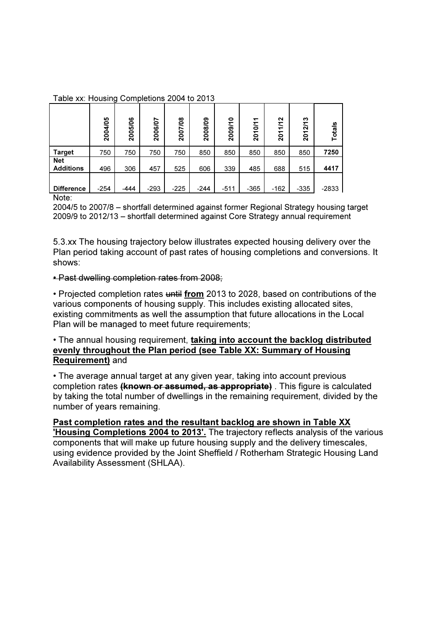Table xx: Housing Completions 2004 to 2013

|                                | 2004/05 | 2005/06 | 6/07<br>$\overline{200}$ | $\infty$<br>2007/0 | 2008/09 | 0<br>2009/1 | ↽<br>2010/1 | N<br>$\mathbf{z}$<br>201 | ∾<br>$\overline{27}$<br>201 | Totals  |
|--------------------------------|---------|---------|--------------------------|--------------------|---------|-------------|-------------|--------------------------|-----------------------------|---------|
| <b>Target</b>                  | 750     | 750     | 750                      | 750                | 850     | 850         | 850         | 850                      | 850                         | 7250    |
| <b>Net</b><br><b>Additions</b> | 496     | 306     | 457                      | 525                | 606     | 339         | 485         | 688                      | 515                         | 4417    |
|                                |         |         |                          |                    |         |             |             |                          |                             |         |
| <b>Difference</b>              | $-254$  | $-444$  | $-293$                   | $-225$             | $-244$  | $-511$      | $-365$      | $-162$                   | $-335$                      | $-2833$ |

Note:

2004/5 to 2007/8 – shortfall determined against former Regional Strategy housing target 2009/9 to 2012/13 – shortfall determined against Core Strategy annual requirement

5.3.xx The housing trajectory below illustrates expected housing delivery over the Plan period taking account of past rates of housing completions and conversions. It shows:

### • Past dwelling completion rates from 2008;

• Projected completion rates until from 2013 to 2028, based on contributions of the various components of housing supply. This includes existing allocated sites, existing commitments as well the assumption that future allocations in the Local Plan will be managed to meet future requirements;

# • The annual housing requirement, taking into account the backlog distributed evenly throughout the Plan period (see Table XX: Summary of Housing Requirement) and

• The average annual target at any given year, taking into account previous completion rates (**known or assumed, as appropriate**). This figure is calculated by taking the total number of dwellings in the remaining requirement, divided by the number of years remaining.

### Past completion rates and the resultant backlog are shown in Table XX 'Housing Completions 2004 to 2013'. The trajectory reflects analysis of the various components that will make up future housing supply and the delivery timescales, using evidence provided by the Joint Sheffield / Rotherham Strategic Housing Land Availability Assessment (SHLAA).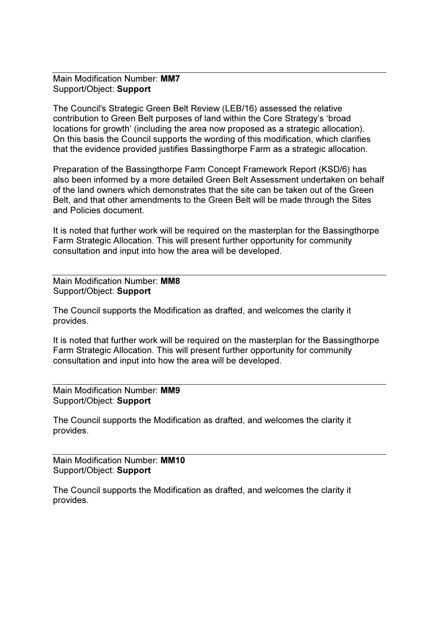Main Modification Number: MM7 Support/Object: Support

The Council's Strategic Green Belt Review (LEB/16) assessed the relative contribution to Green Belt purposes of land within the Core Strategy's 'broad locations for growth' (including the area now proposed as a strategic allocation). On this basis the Council supports the wording of this modification, which clarifies that the evidence provided justifies Bassingthorpe Farm as a strategic allocation.

Preparation of the Bassingthorpe Farm Concept Framework Report (KSD/6) has also been informed by a more detailed Green Belt Assessment undertaken on behalf of the land owners which demonstrates that the site can be taken out of the Green Belt, and that other amendments to the Green Belt will be made through the Sites and Policies document.

It is noted that further work will be required on the masterplan for the Bassingthorpe Farm Strategic Allocation. This will present further opportunity for community consultation and input into how the area will be developed.

Main Modification Number: MM8 Support/Object: Support

The Council supports the Modification as drafted, and welcomes the clarity it provides.

It is noted that further work will be required on the masterplan for the Bassingthorpe Farm Strategic Allocation. This will present further opportunity for community consultation and input into how the area will be developed.

Main Modification Number: MM9 Support/Object: Support

The Council supports the Modification as drafted, and welcomes the clarity it provides.

Main Modification Number: MM10 Support/Object: Support

The Council supports the Modification as drafted, and welcomes the clarity it provides.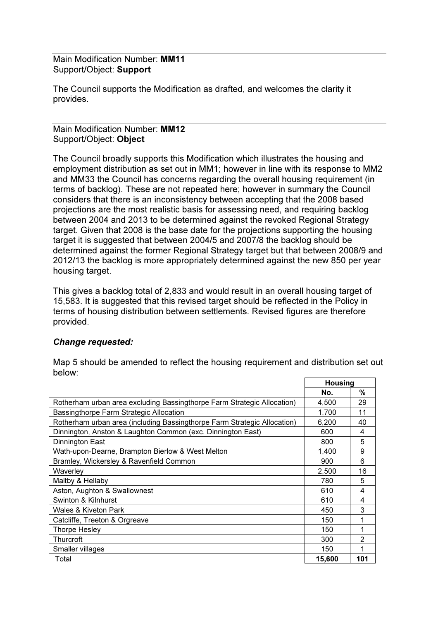Main Modification Number: MM11 Support/Object: Support

The Council supports the Modification as drafted, and welcomes the clarity it provides.

Main Modification Number: MM12 Support/Object: Object

The Council broadly supports this Modification which illustrates the housing and employment distribution as set out in MM1; however in line with its response to MM2 and MM33 the Council has concerns regarding the overall housing requirement (in terms of backlog). These are not repeated here; however in summary the Council considers that there is an inconsistency between accepting that the 2008 based projections are the most realistic basis for assessing need, and requiring backlog between 2004 and 2013 to be determined against the revoked Regional Strategy target. Given that 2008 is the base date for the projections supporting the housing target it is suggested that between 2004/5 and 2007/8 the backlog should be determined against the former Regional Strategy target but that between 2008/9 and 2012/13 the backlog is more appropriately determined against the new 850 per year housing target.

This gives a backlog total of 2,833 and would result in an overall housing target of 15,583. It is suggested that this revised target should be reflected in the Policy in terms of housing distribution between settlements. Revised figures are therefore provided.

# Change requested:

|                                                                          | <b>Housing</b> |                |
|--------------------------------------------------------------------------|----------------|----------------|
|                                                                          | No.            | $\%$           |
| Rotherham urban area excluding Bassingthorpe Farm Strategic Allocation)  | 4,500          | 29             |
| Bassingthorpe Farm Strategic Allocation                                  | 1,700          | 11             |
| Rotherham urban area (including Bassingthorpe Farm Strategic Allocation) | 6,200          | 40             |
| Dinnington, Anston & Laughton Common (exc. Dinnington East)              | 600            | 4              |
| Dinnington East                                                          | 800            | 5              |
| Wath-upon-Dearne, Brampton Bierlow & West Melton                         | 1,400          | 9              |
| Bramley, Wickersley & Ravenfield Common                                  | 900            | 6              |
| Waverley                                                                 | 2,500          | 16             |
| Maltby & Hellaby                                                         | 780            | 5              |
| Aston, Aughton & Swallownest                                             | 610            | 4              |
| Swinton & Kilnhurst                                                      | 610            | 4              |
| Wales & Kiveton Park                                                     | 450            | 3              |
| Catcliffe, Treeton & Orgreave                                            | 150            | 1              |
| <b>Thorpe Hesley</b>                                                     | 150            | 1              |
| Thurcroft                                                                | 300            | $\overline{2}$ |
| Smaller villages                                                         | 150            | 1              |
| Total                                                                    | 15.600         | 101            |

Map 5 should be amended to reflect the housing requirement and distribution set out below: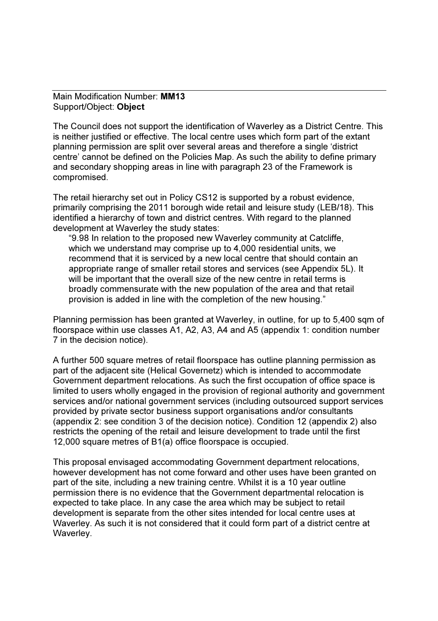Main Modification Number: MM13 Support/Object: Object

The Council does not support the identification of Waverley as a District Centre. This is neither justified or effective. The local centre uses which form part of the extant planning permission are split over several areas and therefore a single 'district centre' cannot be defined on the Policies Map. As such the ability to define primary and secondary shopping areas in line with paragraph 23 of the Framework is compromised.

The retail hierarchy set out in Policy CS12 is supported by a robust evidence, primarily comprising the 2011 borough wide retail and leisure study (LEB/18). This identified a hierarchy of town and district centres. With regard to the planned development at Waverley the study states:

"9.98 In relation to the proposed new Waverley community at Catcliffe, which we understand may comprise up to 4,000 residential units, we recommend that it is serviced by a new local centre that should contain an appropriate range of smaller retail stores and services (see Appendix 5L). It will be important that the overall size of the new centre in retail terms is broadly commensurate with the new population of the area and that retail provision is added in line with the completion of the new housing."

Planning permission has been granted at Waverley, in outline, for up to 5,400 sqm of floorspace within use classes A1, A2, A3, A4 and A5 (appendix 1: condition number 7 in the decision notice).

A further 500 square metres of retail floorspace has outline planning permission as part of the adjacent site (Helical Governetz) which is intended to accommodate Government department relocations. As such the first occupation of office space is limited to users wholly engaged in the provision of regional authority and government services and/or national government services (including outsourced support services provided by private sector business support organisations and/or consultants (appendix 2: see condition 3 of the decision notice). Condition 12 (appendix 2) also restricts the opening of the retail and leisure development to trade until the first 12,000 square metres of B1(a) office floorspace is occupied.

This proposal envisaged accommodating Government department relocations, however development has not come forward and other uses have been granted on part of the site, including a new training centre. Whilst it is a 10 year outline permission there is no evidence that the Government departmental relocation is expected to take place. In any case the area which may be subject to retail development is separate from the other sites intended for local centre uses at Waverley. As such it is not considered that it could form part of a district centre at Waverley.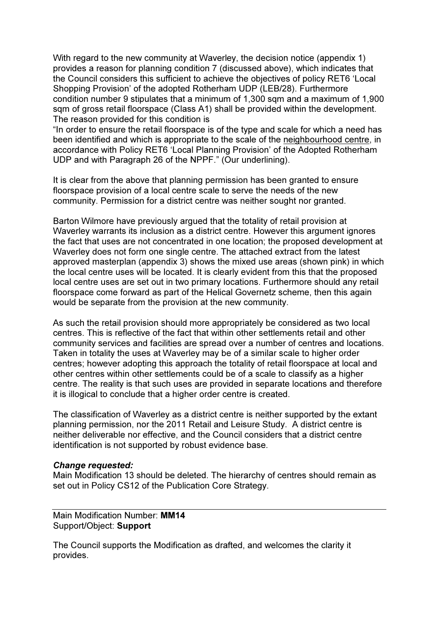With regard to the new community at Waverley, the decision notice (appendix 1) provides a reason for planning condition 7 (discussed above), which indicates that the Council considers this sufficient to achieve the objectives of policy RET6 'Local Shopping Provision' of the adopted Rotherham UDP (LEB/28). Furthermore condition number 9 stipulates that a minimum of 1,300 sqm and a maximum of 1,900 sqm of gross retail floorspace (Class A1) shall be provided within the development. The reason provided for this condition is

"In order to ensure the retail floorspace is of the type and scale for which a need has been identified and which is appropriate to the scale of the neighbourhood centre, in accordance with Policy RET6 'Local Planning Provision' of the Adopted Rotherham UDP and with Paragraph 26 of the NPPF." (Our underlining).

It is clear from the above that planning permission has been granted to ensure floorspace provision of a local centre scale to serve the needs of the new community. Permission for a district centre was neither sought nor granted.

Barton Wilmore have previously argued that the totality of retail provision at Waverley warrants its inclusion as a district centre. However this argument ignores the fact that uses are not concentrated in one location; the proposed development at Waverley does not form one single centre. The attached extract from the latest approved masterplan (appendix 3) shows the mixed use areas (shown pink) in which the local centre uses will be located. It is clearly evident from this that the proposed local centre uses are set out in two primary locations. Furthermore should any retail floorspace come forward as part of the Helical Governetz scheme, then this again would be separate from the provision at the new community.

As such the retail provision should more appropriately be considered as two local centres. This is reflective of the fact that within other settlements retail and other community services and facilities are spread over a number of centres and locations. Taken in totality the uses at Waverley may be of a similar scale to higher order centres; however adopting this approach the totality of retail floorspace at local and other centres within other settlements could be of a scale to classify as a higher centre. The reality is that such uses are provided in separate locations and therefore it is illogical to conclude that a higher order centre is created.

The classification of Waverley as a district centre is neither supported by the extant planning permission, nor the 2011 Retail and Leisure Study. A district centre is neither deliverable nor effective, and the Council considers that a district centre identification is not supported by robust evidence base.

#### Change requested:

Main Modification 13 should be deleted. The hierarchy of centres should remain as set out in Policy CS12 of the Publication Core Strategy.

Main Modification Number: MM14 Support/Object: Support

The Council supports the Modification as drafted, and welcomes the clarity it provides.